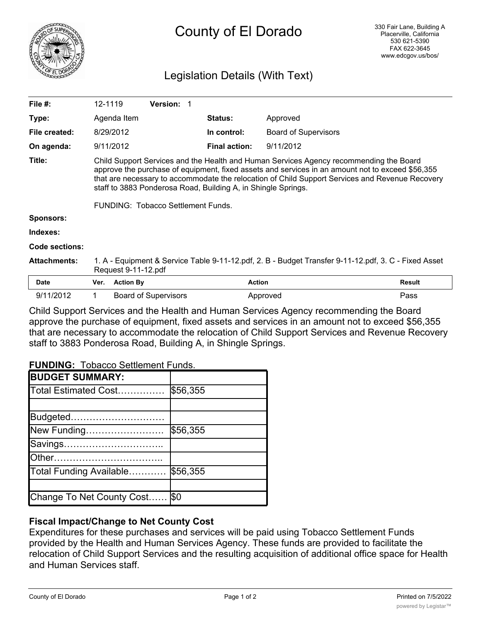

# Legislation Details (With Text)

| File $#$ :          | 12-1119                                                                                                                                                                                                                                                                                                                                                        |                  | <b>Version: 1</b>           |                      |                             |        |
|---------------------|----------------------------------------------------------------------------------------------------------------------------------------------------------------------------------------------------------------------------------------------------------------------------------------------------------------------------------------------------------------|------------------|-----------------------------|----------------------|-----------------------------|--------|
| Type:               |                                                                                                                                                                                                                                                                                                                                                                | Agenda Item      |                             | <b>Status:</b>       | Approved                    |        |
| File created:       |                                                                                                                                                                                                                                                                                                                                                                | 8/29/2012        |                             | In control:          | <b>Board of Supervisors</b> |        |
| On agenda:          |                                                                                                                                                                                                                                                                                                                                                                | 9/11/2012        |                             | <b>Final action:</b> | 9/11/2012                   |        |
| Title:              | Child Support Services and the Health and Human Services Agency recommending the Board<br>approve the purchase of equipment, fixed assets and services in an amount not to exceed \$56,355<br>that are necessary to accommodate the relocation of Child Support Services and Revenue Recovery<br>staff to 3883 Ponderosa Road, Building A, in Shingle Springs. |                  |                             |                      |                             |        |
|                     | FUNDING: Tobacco Settlement Funds.                                                                                                                                                                                                                                                                                                                             |                  |                             |                      |                             |        |
| <b>Sponsors:</b>    |                                                                                                                                                                                                                                                                                                                                                                |                  |                             |                      |                             |        |
| Indexes:            |                                                                                                                                                                                                                                                                                                                                                                |                  |                             |                      |                             |        |
| Code sections:      |                                                                                                                                                                                                                                                                                                                                                                |                  |                             |                      |                             |        |
| <b>Attachments:</b> | 1. A - Equipment & Service Table 9-11-12.pdf, 2. B - Budget Transfer 9-11-12.pdf, 3. C - Fixed Asset<br>Request 9-11-12.pdf                                                                                                                                                                                                                                    |                  |                             |                      |                             |        |
| <b>Date</b>         | Ver.                                                                                                                                                                                                                                                                                                                                                           | <b>Action By</b> |                             | <b>Action</b>        |                             | Result |
| 9/11/2012           |                                                                                                                                                                                                                                                                                                                                                                |                  | <b>Board of Supervisors</b> |                      | Approved                    | Pass   |

Child Support Services and the Health and Human Services Agency recommending the Board approve the purchase of equipment, fixed assets and services in an amount not to exceed \$56,355 that are necessary to accommodate the relocation of Child Support Services and Revenue Recovery staff to 3883 Ponderosa Road, Building A, in Shingle Springs.

**FUNDING:** Tobacco Settlement Funds.

| <b>BUDGET SUMMARY:</b>    |          |
|---------------------------|----------|
| Total Estimated Cost      | \$56,355 |
|                           |          |
| Budgeted                  |          |
| New Funding               | \$56,355 |
| Savings                   |          |
| Other……………………………          |          |
| Total Funding Available   | \$56,355 |
|                           |          |
| Change To Net County Cost | I\$0     |

## **Fiscal Impact/Change to Net County Cost**

Expenditures for these purchases and services will be paid using Tobacco Settlement Funds provided by the Health and Human Services Agency. These funds are provided to facilitate the relocation of Child Support Services and the resulting acquisition of additional office space for Health and Human Services staff.